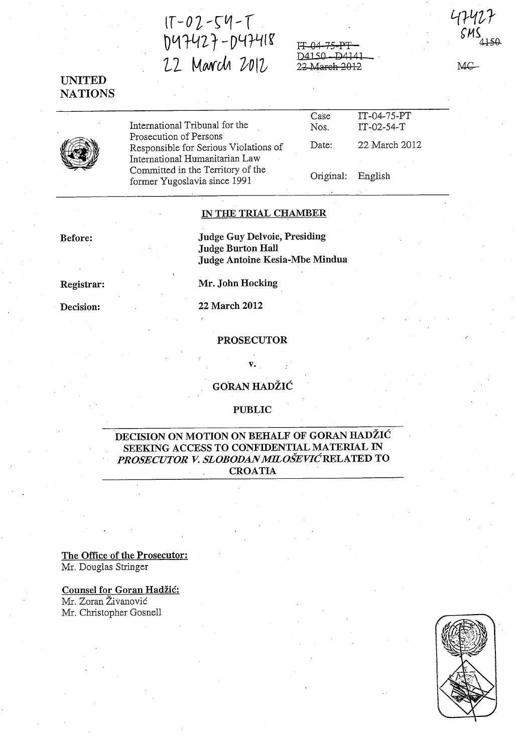$1T-02-S4-T$  $D47427 - D47418$ 22 March 2012

 $FT.04-75$  $D4150$ 22 March 2012

# UNITED **NATIONS**



International Tribunal for the Prosecution of Persons Responsible for Serious Violations of International Humanitarian Law Committed in the Territory of the former Yugoslavia since 1991

Case<sup></sup> Nos. IT-04-75-PT IT-02-54-T Date: 22 March 2012 Original: English

### IN THE TRIAL CHAMBER

Judge Guy Delvoie, Presiding Judge Burton Hall Judge Antoine Kesia-Mbe Mindua

Registrar:

Before:

Decision:

PROSECUTOR

Mr. John Hocking

22 March 2012

GORAN HADŽIĆ

 $\mathbf{v}_{\boldsymbol{\cdot}}$  .

:PUBLIC

## DECISION ON MOTION ON BEHALF OF GORAN HADZIC' SEEKING ACCESS TO CONFIDENTIAL MATERIAL IN *PROSECUTOR* V. *SLOBODAN MILOSEVICRELATED* TO CROATIA

The Office of the Prosecutor: Mr. Douglas Stringer

Counsel for Goran Hadzic:

Mr. Zoran Živanović Mr. Christopher Gosnell



474

MC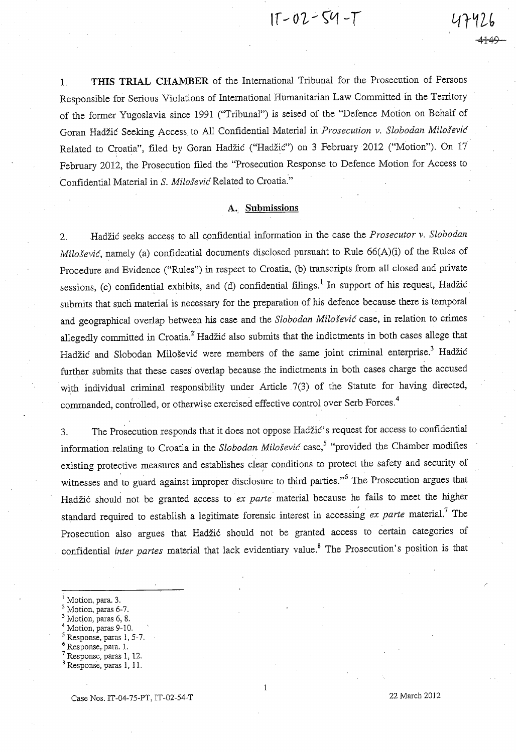$11 - 02 - 54 - T$ 

<del>1149 -</del>

1. **THIS TRIAL CHAMBER** of the International Tribunal for the Prosecution of Persons Responsible for Serious Violations of International Humanitarian Law Committed in the Territory of the former Yugoslavia since 1991 ("Tribunal") is seised of the "Defence Motion on Behalf of Goran Hadzic Seeking Access. to All Confidential Material in *Prosecution v. Slobodan Milosevic*  Related to Croatia", filed by Goran Hadžić ("Hadžić") on 3 February 2012 ("Motion"). On 17 February 2012, the Prosecution filed the "Prosecution Response to Defence Motion for Access to Confidential Material in S. *Milosevic* Related to Croatia."

### A.. **Submissions**

2. Hadzic seeks access to all cpnfidential information in the case the *Prosecutor v. Slobodan Milošević*, namely (a) confidential documents disclosed pursuant to Rule 66(A)(i) of the Rules of Procedure and Evidence ("Rules") in respect to Croatia, (b) transcripts from all closed and private sessions, (c) confidential exhibits, and (d) confidential filings.<sup>1</sup> In support of his request, Hadžić submits that such material is necessary for the preparation of his defence because there is temporal and geographical overlap between his case and the *Slobodan Milosevic* case, in relation to crimes allegedly committed in Croatia.<sup>2</sup> Hadžić also submits that the indictments in both cases allege that Hadžić and Slobodan Milošević were members of the same joint criminal enterprise.<sup>3</sup> Hadžić further submits that these cases overlap because the indictments in both cases charge the accused with individual criminal responsibility under Article 7(3) of the Statute for having directed, commanded, controlled, or otherwise exercised effective control over Serb Forces.<sup>4</sup>

3. The Prosecution responds that it does not oppose Hadžić's request for access to confidential information relating to Croatia in the *Slobodan Milošević* case,<sup>5</sup> "provided the Chamber modifies existing protective measures and establishes clear conditions to protect the safety and security of witnesses and to guard against improper disclosure to third parties."<sup>6</sup> The Prosecution argues that Hadžić should not be granted access to *ex parte* material because he fails to meet the higher standard required to establish a legitimate forensic interest in accessing *ex parte* material.<sup>7</sup> The Prosecution also argues that Hadžić should not be granted access to certain categories of confidential *inter partes* material that lack evidentiary value. 8 The Prosecution's position is that

Motion, paras 6, 8.

- Response, paras 1, 5-7.
- Response, para. 1.
- $7$  Response, paras 1, 12.

Motion, para. 3.

Motion, paras 6-7.

Motion, paras 9-10.

<sup>8</sup> Response, paras 1, 11.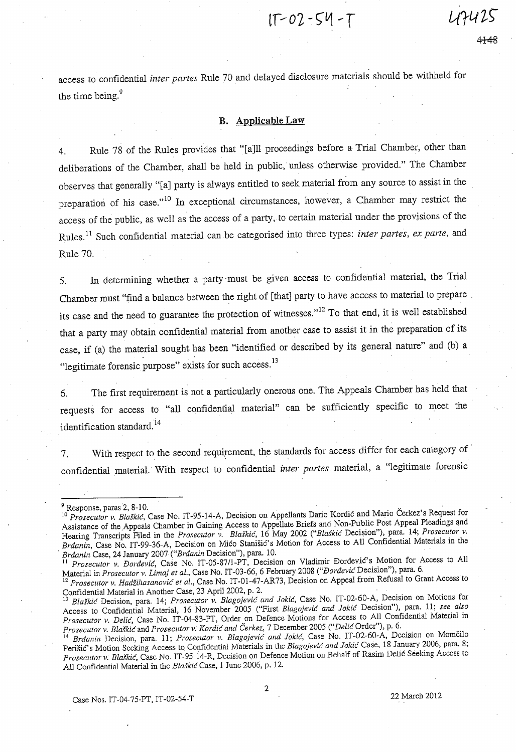$1T - 02 - 54 - T$ 

access to confidential *inter partes* Rule 70 and delayed disclosure materials should be withheld for the time being.<sup>9</sup>

### **B. Applicable Law**

4. Rule 78 of the Rules provides that "[a]ll proceedings before a Trial Chamber, other than deliberations of the Chamber, shall be held in public, unless otherwise provided." The Chamber observes that generally "[a] party is always entitled to seek material from any source to assist in the preparation of his case."<sup>10</sup> In exceptional circumstances, however, a Chamber may restrict the access of the public, as well as the access of a party, to certain material under the provisions of the Rules. ll Such confidential material can be categorised into three types: *inter partes, ex parte,* and Rule 70.

5. In determining whether a party 'must be given access to confidential material, the Trial Chamber must "find a balance between the right of [that] party to have aCCess to material to prepare its case and the need to guarantee the protection of witnesses."<sup>12</sup> To that end, it is well established that a party may obtain confidential material from another case to assist it in the preparation of its case, if (a) the material sought has been "identified or described by its general nature" and (b) a "legitimate forensic purpose" exists for such access.<sup>13</sup>

6. The first requirement is not a particularly onerous one. The Appeals Chamber has held that requests for access to "all confidential material" can be sufficiently specific to meet the identification standard.<sup>14</sup>

7. With respect to the second requirement, the standards for access differ for each category of ' confidential material.' With respect to confidential *inter partes* material, a "legitimate forensic

Case Nos. 1T-04-7S-PT, 1T-02-S4-T 22 March 2012

 $9$  Response, paras 2, 8-10.

<sup>10</sup>*Prosecutor v. Blaskic,* Case No. IT-9S-14-A, Decision on Appellants Dario Kordic and Mario Cerkez's Request for Assistance of the Appeals Chamber in Gaining Access to Appellate Briefs and Non-Public Post Appeal Pleadings and Hearing Transcripts Filed in the *Prosecutor v. Blaskic*, 16 May 2002 *("Blaskic* Decision"), para. 14; *Prosecutor v. Brdanin,* Case No. IT -99-36-A, Dedsion on Mico Stanisic's Motion for Access to All Confidential Materials in the *, Brdanin* Case, 24 January 2007 *("Brdanin* Decision"), para. 10. '

<sup>11</sup>*Prosecutor v. Dordevic,* Case No. IT-OS-8711-PT, Decision on Vladimir E>ordevic's Motion for Access to All Material in *Prosecutor v. Lima} et al.,* Case No. IT -03-66, 6 February 2008 *("Dordevic* Decision"), para. 6.

<sup>12&</sup>lt;sup>2</sup> Prosecutor v. Hadžihasanović et al., Case No. IT-01-47-AR73, Decision on Appeal from Refusal to Grant Access to Confidential Material in Another Case, 23 April 2002, p. 2.<br><sup>13</sup> Plaškić Decisi

<sup>13</sup>*Blaskic* Decision, para. 14; *Prosecutor v. Blagojevic and Jokic,* Case No. IT-02-60-A, Decision on Motions for Access to Confidential Material, 16 November 2005 ("First *Blagojevic and Jokic* Decision"), para. 11; see also *Prosecutor v. DeUc,* Case No. IT-04-83-PT, Order on Defence Motions for Access to All Confidential Material in *Prosecutor v. Blaškić* and *Prosecutor v. Kordić and Čerkez,* 7 December 2005 *("Delić* Order"), p. 6.

<sup>14</sup>*Brdanin* Decision, para. 11; *Prosecutor v. Blagojevic and Jokic,* Case No. IT -02-60-A, Decision on Momcilo Perisic's Motion Seeking Access to Confidential Materials in the *Blagojevic and Jokic* Case, 18 January 2006, para. 8; *Proseclltor v: Blaskic,* Case No. IT -9S-14-R, Decision on Defence Motion on Behalf of Rasim Delic Seeking Access to All Confidential Material in the *Blaskic* Case, 1 June 2006, p. 12.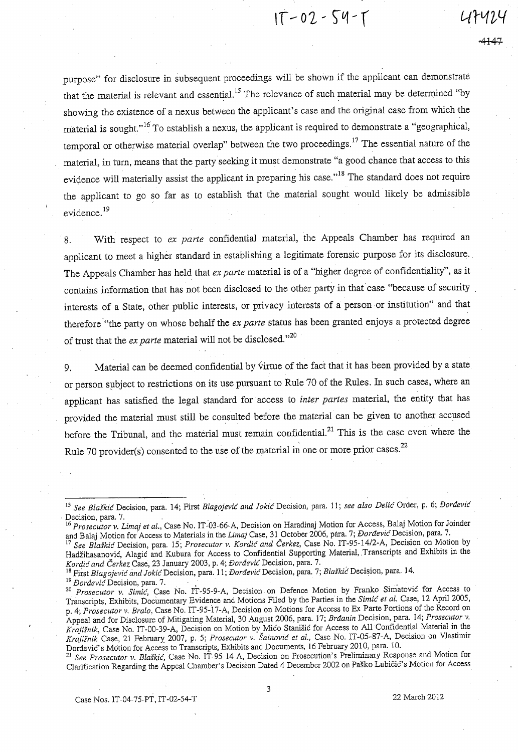$1T - 02 - 54 - T$ 

purpose" for disclosure in subsequent proceedings will be shown if the applicant can demonstrate that the material is relevant and essential.<sup>15</sup> The relevance of such material may be determined "by showing the existence of a nexus between the applicant's case and the original case from which the material is sought."<sup>16</sup> To establish a nexus, the applicant is required to demonstrate a "geographical, temporal or otherwise material overlap" between the two proceedings.<sup>17</sup> The essential nature of the material, in turn, means that the party seeking it must demonstrate "a good chance that access to this evidence will materially assist the applicant in preparing his case."<sup>18</sup> The standard does not require the applicant to go so far as to establish that the material sought would likely be admissible evidence.<sup>19</sup>

, 8. With respect to *ex parte* confidential material, the Appeals Chamber has required an applicant to meet a higher standard in establishing a legitimate forensic purpose for its disclosure. The Appeals Chamber has held that *ex parte* material is of a "higher degree of confidentiality", as it contains information that has not been disclosed to the other party in that case "because of security interests of a State, other public interests, or privacy interests of a person or institution" and that therefore "the party on whose behalf the *ex parte* status has been granted enjoys a protected degree of trust that the *ex parte* material will not be disclosed."<sup>20</sup>

9. Material can be deemed confidential by virtue of the fact that it has been provided by a state or person subject to restrictions on its use pursuant to Rule 70 of the Rules. In such cases, where an applicant has satisfied the legal standard for access to *inter partes* material, the entity that has provided the material must still be consulted before the material can be given to another accused before the Tribunal, and the material must remain confidential.<sup>21</sup> This is the case even where the Rule 70 provider(s) consented to the use of the material in one or more prior cases.  $22$ Experience and Satisfied the legal standard for access to *inter partes* material, the entity that has<br>provided the material must still be consulted before the material can be given to another accused<br>before the Tribunal,

18 First *Blagojevic* and *Jokic* Decision, para. 11; *Dordevic* Decision, para. 7; *BlaJkic:* Decision, para. 14.

<sup>19</sup> Dordević Decision, para. 7.

<sup>21</sup>*See Prosecutor v. Blaskic,* Case No. IT-95-14-A, Decision on Prosecution's Preliminary Response and Motion for Clarification Regarding the Appeal Chamber's Decision Dated 4 December 2002 on Pasko LubiciC's Motion for Access

Case Nos. IT-04-75-PT, IT-02-54-T 22 March 2012

*<sup>15</sup> See Blaskic* Decision, para. 14; First *Blagojevic and ]okic* Decision, para. 11; *see also Delic* Order, p. 6; *Dordevic* 

<sup>16</sup>*Prosecutor v. Limaj et al.,* Case No. IT -03-66-A, Decision on Haradinaj Motion for Access, Balaj Motion for Joinder and Balaj Motion for Access to Materials in the *Limaj* Case, 31 October 2006, para. 7; *Dordevic* Decision, para. 7.

<sup>17</sup>*See Blaskic* Decision, para. 15; *Prosecutor v. Korclic and Cerkez,* Case No. *IT-95-14/2-A,* Decision on Motion by Hadžihasanović, Alagić and Kubura for Access to Confidential Supporting Material, Transcripts and Exhibits in the *Kordic and Cerkez* Case, 23 January 2003, p. 4; *DordevicDecision,* para. 7.

*<sup>20</sup> Prosecutor v. Simic,* Case No. IT -95-9-A, Decision. on Defence Motion by Franko Simatovic for Access to Transcripts, Exhibits, Documentary Evidence and Motions Filed by the Parties in the *Simic et al.* Case, 12 April 2005, p. 4; *Prosecutor v. Bralo*, Case No. IT-95-17-A, Decision on Motions for Access to Ex Parte Portions of the Record on Appeal and for Disclosure of Mitigating Material, 30 August 2006, para. 17; *Brdanin* Decision, para. 14; *Prosecutor v. Krajisnik,* Case No. IT-00-39-A, Decision on Motion by Mico StaniSic for Access to All Confidential Material in the *Krajisnik* Case, 21 February' 2007, p. 5; *Prosecutor v. Sainovic et al.,* Case No. IT-05-87-A, Decision on Vlastimir Dordevic's Motion for Access to Transcripts, Exhibits and Documents, 16 February 2010, para. 10.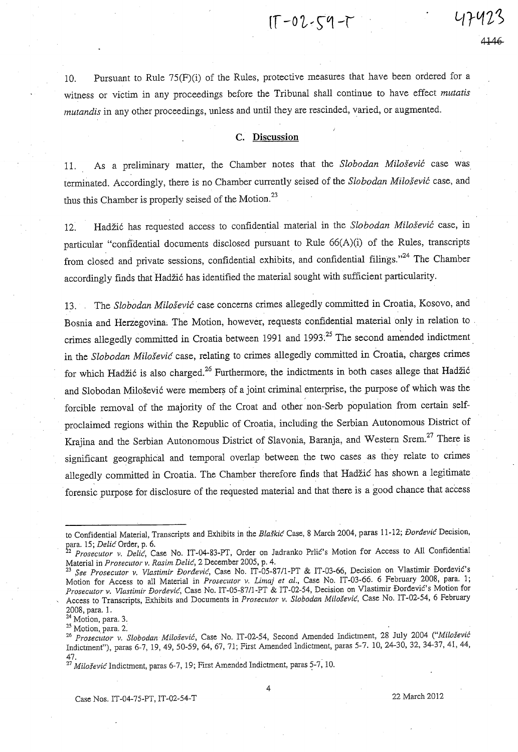$[T - 02 - 59 - 7]$ 

10. Pursuant to Rule 7S(F)(i) of the Rules, protective measures that have been ordered for a witness or victim in any proceedings before the Tribunal shall continue to have effect *mutatis mutandis* in any other proceedings, unless and until they are rescinded, varied, or augmented.

#### **c.** Discussion

11. As a preliminary matter, the Chamber notes that the *Slobodan Milosevic* case was terminated. Accordingly, there is no Chamber currently seised of the *Slobodan Milosevic* case, and thus this Chamber is properly seised of the Motion.<sup>23</sup>

12. Hadzi6 has requested access to confidential material in the *Slobodan Milosevic* case, in particular "confidential documents disclosed pursuant to Rule 66(A)(i) of the Rules, transcripts from closed and private sessions, confidential exhibits, and confidential filings."<sup>24</sup> The Chamber accordingly finds that Hadžić has identified the material sought with sufficient particularity.

13. The *Slobodan Milosevic* case concerns crimes allegedly committed in Croatia, Kosovo, and Bosnia and Herzegovina; The Motion, however, requests confidential material only in relation to . crimes allegedly committed in Croatia between 1991 and 1993<sup>25</sup> The second amended indictment in the *Slobodan Milošević* case, relating to crimes allegedly committed in Croatia, charges crimes for which Hadžić is also charged.<sup>26</sup> Furthermore, the indictments in both cases allege that Hadžić and Slobodan Milošević were members of a joint criminal enterprise, the purpose of which was the forcible removal of the majority of the Croat and other non-Serb population from certain selfproclaimed regions within the Republic of Croatia, including the Serbian Autonomous District of Krajina and the Serbian Autonomous District of Slavonia, Baranja, and Western Srem.<sup>27</sup> There is significant geographical and temporal overlap between the two cases as they relate to crimes allegedly committed in Croatia. The Chamber therefore finds that Hadzic has shown a legitimate forensic purpose for disclosure of the requested material and that there is a good chance that access

25 Motion, para. 2.

Case Nos. IT-04-75-PT, IT-02-54-T 22 March 2012

to Confidential Material, Transcripts and Exhibits in the *Blalkic* Case, 8 March 2004, paras 11-12; *f)ordevic* Decision, ~ara. 15; *Delic* Order, p. 6.

\_2 *Prosecutor v. Delic,* Case No. IT -04-83-PT, Order on Jadranko Prlic's Motion for Access to All Confidential Material in *Prosecutor v. Rasim Delic,* 2 December 2005, p. 4.

See Prosecutor v. Vlastimir Đorđević, Case No. IT-05-87/1-PT & IT-03-66, Decision on Vlastimir Đorđević's Motion for Access to all Material in *Prosecutor v. Limaj et al.*, Case No. IT-03-66. 6 February 2008, para. 1; *Prosecutor v. Vlastimir f)ordevic,* Case No. IT-05-87/l-PT & IT-02-54, Decision on Vlastimir DordeviC's Motion for Access to Transcripts, Exhibits and Documents in *Prosecutor* v. *Slobodan Milolevic,* Case No. IT-02-54, 6 February 2008, para. 1.

<sup>&</sup>lt;sup>24</sup> Motion, para. 3.

*<sup>26</sup> Proseciaor v. Slobodan Milosevic,* Case No. IT-02-54, Second Amended Indictment, 28 July 2004 *("Milosevic*  Indictinent"), paras 6-7, 19,49,50-59,64,67,71; First Amended Indictment, paras 5-7. 10,24-30,32,34-37,41,44, 47.

 $27$  Milošević Indictment, paras 6-7, 19; First Amended Indictment, paras 5-7, 10.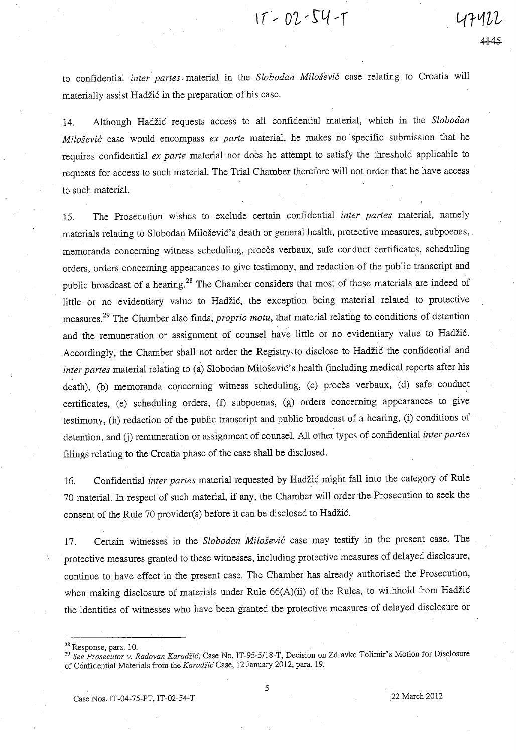to confidential *inter partes.* material in the *Slobodan Milosevic* case relating to Croatia will materially assist Hadžić in the preparation of his case.

 $17 - 02 - 54 - 1$ 

14. Although Hadzi6 requests access to all confidential material, which in the *Slobodan Milosevic* case would encompass *ex parte* material, he makes no specific submission that he requires confidential *ex parte* material nor does he attempt to satisfy the threshold applicable to requests for access to such material. The Trial Chamber therefore will not order that he have access to such material.

15. The Prosecution wishes to exclude certain confidential *inter partes* material, namely materials relating to Slobodan Milošević's death or general health, protective measures, subpoenas, . memoranda concerning witness scheduling, procès verbaux, safe conduct certificates, scheduling orders, orders concerning appearances to give testimony, and redaction of the public transcript and public broadcast of a hearing.<sup>28</sup> The Chamber considers that most of these materials are indeed of little or no evidentiary value to Hadžić, the exception being material related to protective measures.<sup>29</sup> The Chamber also finds, *proprio motu*, that material relating to conditions of detention and the remuneration or assignment of counsel have little or no evidentiary value to Hadžić. Accordingly, the Chamber shall not order the Registry to disclose to Hadžić the confidential and *inter partes* material relating to (a) Slobodan Milošević's health (including medical reports after his death), (b) memoranda concerning witness scheduling, (c) procès verbaux, (d) safe conduct certificates, (e) scheduling orders, (f) subpoenas, (g) orders concerning appearances to give testimony, (h) redaction of the public transcript and public broadcast of a hearing, (i) conditions of detention, and (j) remuneration or assignment of counsel. All other types of confidential *inter partes* filings relating to the Croatia phase of the case shall be disclosed.

16. Confidential *inter partes* material requested by Hadzi6 might fall into the category of Rule 70 material. In respect of such material, if any, the Chamber will order the Prosecution to seek the consent of the Rule 70 provider(s) before it can be disclosed to Hadžić.

17. Certain witnesses in the *Slob6dan Milosevic* case may testify in the present case. The protective measures granted to these witnesses, including protective measures of delayed disclosure, continue to have effect in the present case. The Chamber has already authorised the Prosecution, when making disclosure of materials under Rule 66(A)(ii) of the Rules, to withhold from Hadžić the identities of witnesses who have been granted the protective measures of delayed disclosure or

 $28$  Response, para. 10.

<sup>&</sup>lt;sup>29</sup> See Prosecutor v. Radovan Karadžić, Case No. IT-95-5/18-T, Decision on Zdravko Tolimir's Motion for Disclosure of Confidential Materials from the *Karadžić* Case, 12 January 2012, para. 19.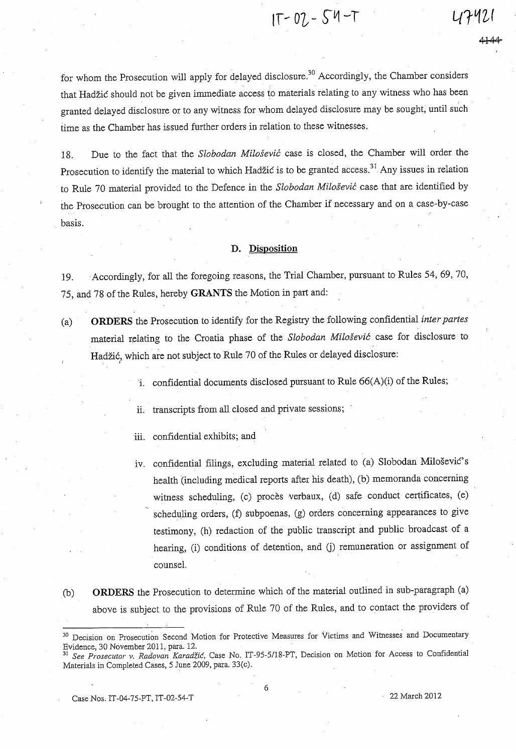$1T - 02 - 54 - T$ 

for whom the Prosecution will apply for delayed disclosure.<sup>30</sup> Accordingly, the Chamber considers that Hadzic should not be given immediate access to materials relating to any witness who has been granted delayed disclosure or to any witness for whom delayed disclosure may be sought, until such time as the Chamber has issued further orders in relation to these witnesses.

18. Due to the fact that the *Slobodan. Milosevic* case is closed, the Chamber will order the Prosecution to identify the material to which Hadžić is to be granted access.<sup>31</sup> Any issues in relation to Rule 70 material provided to the Defence in the *Slobodan. Milosevic* case that are identified by the Prosecution can be brought to the attention of the Chamber if necessary and on a case-by-case basis.

# **D. Disposition**

19. Accordingly, for all the foregoing reasons, the Trial Chamber, pursuant to Rules 54, 69, 70, 75, and 78 of the Rules, hereby **GRANTS** the Motion in part and:

- (a) **ORDERS** the Prosecution to identify for the Registry the following confidential *inter partes*  material relating to the Croatia phase of the *Slobodan Milosevic* case for disclosure to Hadžić, which are not subject to Rule 70 of the Rules or delayed disclosure:
	- i. confidential documents disclosed pursuant to Rule 66(A)(i) of the Rules;
	- ii. transcripts from all closed and private sessions;
	- iii. confidential exhibits; and
	- iv. confidential filings, excluding material related to (a) Slobodan Milosevic's health (including medical reports after his death), (b) memoranda concerning witness scheduling, (c) procès verbaux, (d) safe conduct certificates, (e) scheduling orders, (f) subpoenas, (g) orders concerning appearances to give testimony, (h) redaction of the public transcript and public broadcast of a hearing, (i) conditions of detention, and (j) remuneration or assignment of counsel.
- (b) **ORDERS** the Prosecution to determine which of the material outlined in sub-paragraph (a) above is subject to the provisions of Rule 70 of the Rules, and to contact the providers of

Case Nos. IT-04-75-PT, IT-02-S4-T 22 March 2012

<sup>&</sup>lt;sup>30</sup> Decision on Prosecution Second Motion for Protective Measures for Victims and Witnesses and Documentary Evidence, 30 November 2011, para. 12.<br>
<sup>31</sup> See Put

See Prosecutor v. *Radovan Karadžić*, Case No. IT-95-5/18-PT, Decision on Motion for Access to Confidential Materials in Completed Cases, 5 June 2009, para. 33(c).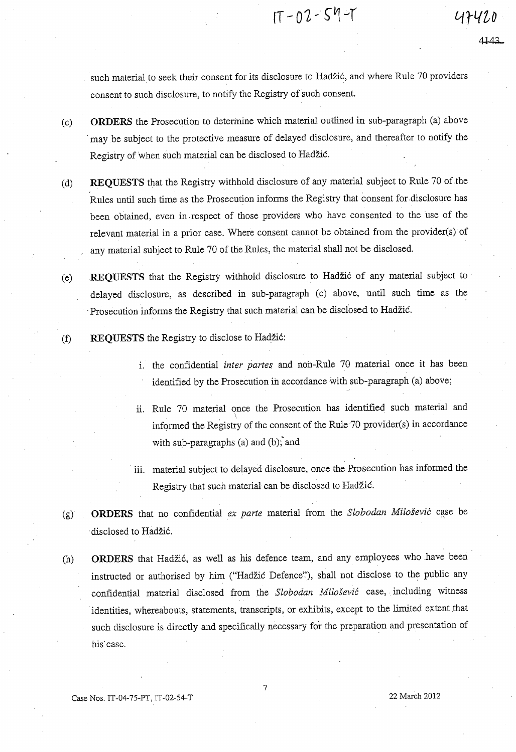$1T - 02 - 54 - T$ 

47420

such material to seek their consent for its disclosure to Hadzic, and where Rule 70 providers consent to such disclosure, to notify the Registry of such consent.

- (c) **ORDERS** the Prosecution to determine which material outlined in sub-paragraph (a) above . may be subject to the protective measure of delayed disclosure, and thereafter to notify the Registry of when such material can be disclosed to Hadzic.
- (d) REQUESTS that the Registry withhold disclosure of any material subject to Rule 70 of the Rules until such time as the Prosecution informs the Registry that consent for .disclosure has been obtained, even in.respect of those providers who have consented to the use of the relevant material in a prior case. Where consent cannot be obtained from the provider(s) of any material subject to Rule 70 of the Rules, the material shall not be disclosed.
- Ce) **REQUESTS** that the Registry withhold disclosure to Hadzi6 of any material subject to delayed disclosure, as described in sub-paragraph (c) above, until such time as the . Prosecution informs the Registry that such material can be disclosed to Hadzic.
- (f) **REQUESTS** the Registry to disclose to Hadžić:
	- i. the confidential *inter partes* and non-Rule 70 material once it has been identified by the Prosecution in accordance with sub-paragraph (a) above;
	- ii. Rule 70 material once the Prosecution has identified such material and  $\lambda$ informed the Registry of the consent of the Rule  $70$  provider $(s)$  in accordance with sub-paragraphs (a) and (b); and
	- . **iii. material subject to delayed disclosure, once. the Prosecution has informed the**  Registry that such material can be disclosed to Hadzic.
- Cg) **ORDERS** that no confidential *ex parte* material from the *Slobodan Milosevic* case be disclosed to Hadžić.
- (h) **ORDERS** that Hadžić, as well as his defence team, and any employees who have been instructed or authorised by him ("Hadžić Defence"), shall not disclose to the public any confidential material disclosed from the *Slobodan Milosevic* case, including witness identities, whereabouts, statements, transcripts, or exhibits, except to the limited extent that such disclosure is directly and specifically necessary for the preparation and presentation of his' case.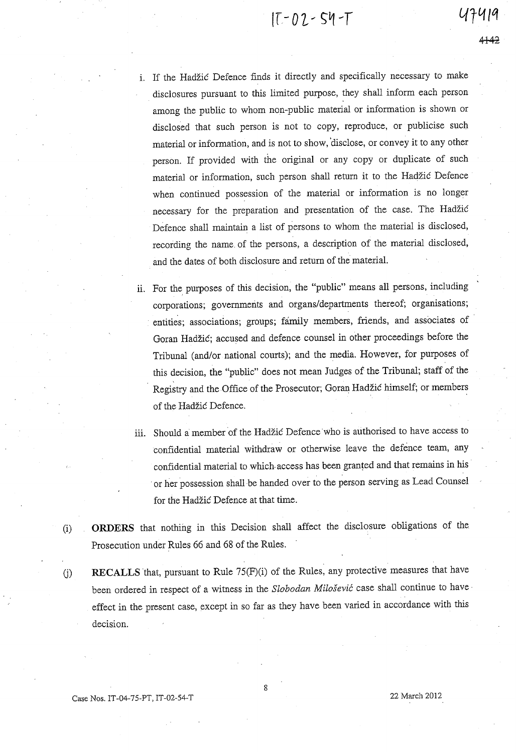$17 - 02 - 54 - T$ 

- i. If the Hadzic Defence finds it directly and specifically necessary to make disclosures pursuant to this limited purpose, they shall inform each person among the public to whom non-public material or information is shown or disclosed that such person is not to copy, reproduce, or publicise such material or information, and is not to show, 'disclose, or convey it to any other person. If provided with the original or any copy or duplicate of such material or information, such person shall return it to the Hadzic Defence when continued possession of the material or information is no longer necessary for the preparation and presentation of the case. The Hadzic Defence shall maintain a list of persons to whom the material is disclosed, recording the name. of the persons, a description of the material disclosed, and the dates of both disclosure and return of the material.
- ii. For the purposes of this decision, the "public" means all persons, including corporations; governments and organs/departments thereof; organisations; . entities; associations; groups; family members, friends, and associates of Goran Hadzic; accused and defence counsel in other proceedings before the Tribunal (and/or national courts); and the media. However, for purposes of this decision, the "public" does not mean Judges of the Tribunal; staff of the Registry and the Office of the Prosecutor; Goran Hadzic himself; or members of the Hadzic Defence.
- iii. Should a member of the Hadzic Defence 'who is authorised to have access to confidential material withdraw or otherwise leave the defence team, any confidential material to which access has been granred and that remains in his or her possession shall be handed over to the person serving as Lead Counsel for the Hadzic Defence at that time.
- (i) **ORDERS** that nothing in this Decision shall affect the disclosure obligations of the Prosecution under Rules 66 and 68 of the Rules. .
- U) RECALLS that, pursuant to Rule 75(F)(i) of the Rules, any protective measures that have been ordered in respect of a witness in the *Slobodan Milosevic* case shall continue to have· effect in the present case, except in so far as they have been varied in accordance with this decision.